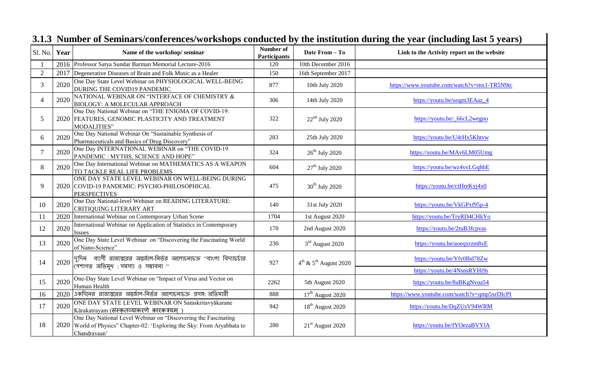| Sl. No.        | Year | Name of the workshop/seminar                                                                                                                                | Number of<br><b>Participants</b> | Date From - To                          | Link to the Activity report on the website                   |
|----------------|------|-------------------------------------------------------------------------------------------------------------------------------------------------------------|----------------------------------|-----------------------------------------|--------------------------------------------------------------|
|                | 2016 | Professor Satya Sundar Barman Memorial Lecture-2016                                                                                                         | 120                              | 10th December 2016                      |                                                              |
| $\overline{2}$ | 2017 | Degenerative Diseases of Brain and Folk Music as a Healer                                                                                                   | 150                              | 16th September 2017                     |                                                              |
| $\overline{3}$ | 2020 | One Day State Level Webinar on PHYSIOLOGICAL WELL-BEING<br>DURING THE COVID19 PANDEMIC                                                                      | 877                              | 10th July 2020                          | https://www.youtube.com/watch?v=mx1-TR5N9tc                  |
| $\overline{4}$ | 2020 | NATIONAL WEBINAR ON "INTERFACE OF CHEMISTRY &<br><b>BIOLOGY: A MOLECULAR APPROACH</b>                                                                       | 306                              | 14th July 2020                          | https://youtu.be/uogm3EAaz_4                                 |
| 5              |      | One Day National Webinar on "THE ENIGMA OF COVID-19:<br>2020 FEATURES, GENOMIC PLASTICITY AND TREATMENT<br><b>MODALITIES"</b>                               | 322                              | $22nd$ July 2020                        | https://youtu.be/_66cL2wegno                                 |
| 6              | 2020 | One Day National Webinar On "Sustainable Synthesis of<br>Pharmaceuticals and Basics of Drug Discovery"                                                      | 283                              | 25th July 2020                          | https://youtu.be/U4rHx5Khtvw                                 |
| $\overline{7}$ | 2020 | One Day INTERNATIONAL WEBINAR on "THE COVID-19<br>PANDEMIC : MYTHS, SCIENCE AND HOPE"                                                                       | 324                              | $26^{\text{th}}$ July 2020              | https://youtu.be/MAv6LM05Umg                                 |
| 8              | 2020 | One Day International Webinar on MATHEMATICS AS A WEAPON<br>TO TACKLE REAL LIFE PROBLEMS                                                                    | 604                              | $27th$ July 2020                        | https://youtu.be/wz4vvLGqhbE                                 |
| 9              |      | ONE DAY STATE LEVEL WEBINAR ON WELL-BEING DURING<br>2020 COVID-19 PANDEMIC: PSYCHO-PHILOSOPHICAL<br><b>PERSPECTIVES</b>                                     | 475                              | 30 <sup>th</sup> July 2020              | https://youtu.be/ctHreKyj4x0                                 |
| 10             | 2020 | One Day National-level Webinar on READING LITERATURE:<br><b>CRITIQUING LITERARY ART</b>                                                                     | 140                              | 31st July 2020                          | https://youtu.be/VkGPxf95p-4                                 |
| 11             | 2020 | International Webinar on Contemporary Urban Scene                                                                                                           | 1704                             | 1st August 2020                         | https://youtu.be/TryRD4CHkYo                                 |
| 12             | 2020 | International Webinar on Application of Statistics in Contemporary<br><b>Issues</b>                                                                         | 170                              | 2nd August 2020                         | https://youtu.be/2tuB3fcpvas                                 |
| 13             | 2020 | One Day State Level Webinar on "Discovering the Fascinating World<br>of Nano-Science"                                                                       | 230                              | 3 <sup>rd</sup> August 2020             | https://youtu.be/aoeqxrzm8xE                                 |
| 14             | 2020 | দুদিন  ব্যাপী রাজ্যস্তরের অন্তর্জাল-নির্ভর আলোচনাচক্র "বাংলা বিদ্যাচর্চার<br>পেশাগত অভিমুখ : সমস্যা ও সম্ভাবনা "                                            | 927                              | $4^{\rm th}$ & $5^{\rm th}$ August 2020 | https://youtu.be/Yfy0lbd78Zw<br>https://youtu.be/4NsnsRYHi9s |
| 15             | 2020 | One-Day State Level Webinar on "Impact of Virus and Vector on<br>Human Health                                                                               | 2262                             | 5th August 2020                         | https://youtu.be/8aBKgNvua54                                 |
| 16             | 2020 | একদিনের রাজ্যস্তরের অন্তর্জাল-নির্ভর আলোচনাচক্র প্রসঙ্গ: অতিমারী                                                                                            | 888                              | $17th$ August 2020                      | https://www.youtube.com/watch?v=qmp5xrDIcPI                  |
| 17             | 2020 | ONE DAY STATE LEVEL WEBINAR ON Saṃskritavyākarane<br>Kārakatrayam (संस्कृतव्याकरणे कारकत्रयम्)                                                              | 942                              | 18 <sup>th</sup> August 2020            | https://youtu.be/DqZUsV94WRM                                 |
| 18             |      | One Day National Level Webinar on "Discovering the Fascinating"<br>2020 World of Physics" Chapter-02: 'Exploring the Sky: From Aryabhata to<br>Chandrayaan' | 280                              | $21st$ August 2020                      | https://youtu.be/fYOezaBVYlA                                 |

## **3.1.3 Number of Seminars/conferences/workshops conducted by the institution during the year (including last 5 years)**